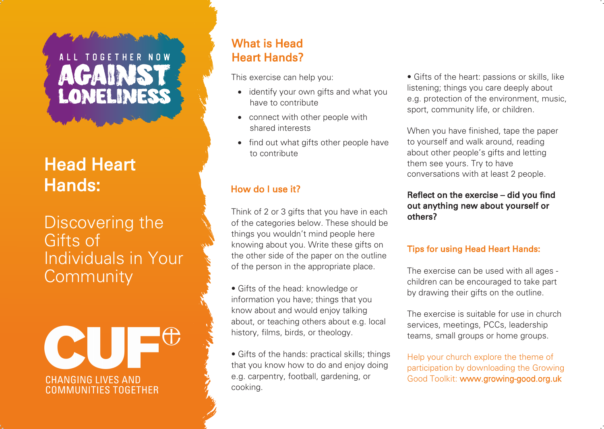# ALL TOGETHER NOW LONELINESS

# Head Heart Hands:

# Discovering the Gifts of Individuals in Your **Community**



## What is Head Heart Hands?

This exercise can help you:

- identify your own gifts and what you have to contribute
- connect with other people with shared interests
- find out what gifts other people have to contribute

## How do I use it?

Think of 2 or 3 gifts that you have in each of the categories below. These should be things you wouldn't mind people here knowing about you. Write these gifts on the other side of the paper on the outline of the person in the appropriate place.

• Gifts of the head: knowledge or information you have; things that you know about and would enjoy talking about, or teaching others about e.g. local history, films, birds, or theology.

• Gifts of the hands: practical skills; things that you know how to do and enjoy doing e.g. carpentry, football, gardening, or cooking.

• Gifts of the heart: passions or skills, like listening; things you care deeply about e.g. protection of the environment, music, sport, community life, or children.

When you have finished, tape the paper to yourself and walk around, reading about other people's gifts and letting them see yours. Try to have conversations with at least 2 people.

#### Reflect on the exercise – did you find out anything new about yourself or others?

### Tips for using Head Heart Hands:

The exercise can be used with all ages children can be encouraged to take part by drawing their gifts on the outline.

The exercise is suitable for use in church services, meetings, PCCs, leadership teams, small groups or home groups.

Help your church explore the theme of participation by downloading the Growing Good Toolkit: www.growing-good.org.uk